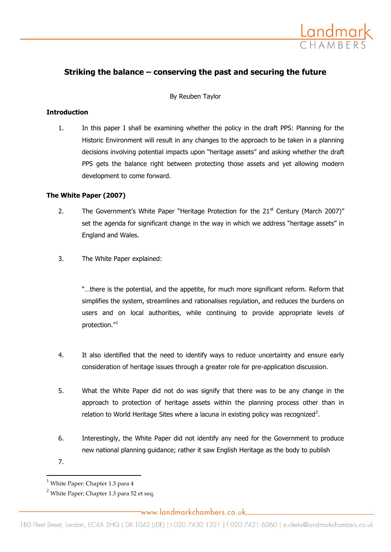

# **Striking the balance – conserving the past and securing the future**

By Reuben Taylor

#### **Introduction**

1. In this paper I shall be examining whether the policy in the draft PPS: Planning for the Historic Environment will result in any changes to the approach to be taken in a planning decisions involving potential impacts upon "heritage assets" and asking whether the draft PPS gets the balance right between protecting those assets and yet allowing modern development to come forward.

### **The White Paper (2007)**

- 2. The Government's White Paper "Heritage Protection for the  $21<sup>st</sup>$  Century (March 2007)" set the agenda for significant change in the way in which we address "heritage assets" in England and Wales.
- 3. The White Paper explained:

"…there is the potential, and the appetite, for much more significant reform. Reform that simplifies the system, streamlines and rationalises regulation, and reduces the burdens on users and on local authorities, while continuing to provide appropriate levels of protection. $''^1$ 

- 4. It also identified that the need to identify ways to reduce uncertainty and ensure early consideration of heritage issues through a greater role for pre-application discussion.
- 5. What the White Paper did not do was signify that there was to be any change in the approach to protection of heritage assets within the planning process other than in relation to World Heritage Sites where a lacuna in existing policy was recognized<sup>2</sup>.
- 6. Interestingly, the White Paper did not identify any need for the Government to produce new national planning guidance; rather it saw English Heritage as the body to publish
- 7.

 $\overline{a}$ 

 $<sup>1</sup>$  White Paper: Chapter 1.3 para 4</sup>

 $^{2}$  White Paper; Chapter 1.3 para 52 et seq.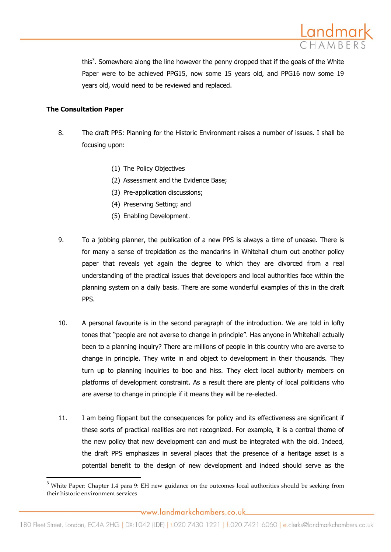

this<sup>3</sup>. Somewhere along the line however the penny dropped that if the goals of the White Paper were to be achieved PPG15, now some 15 years old, and PPG16 now some 19 years old, would need to be reviewed and replaced.

### **The Consultation Paper**

 $\overline{a}$ 

- 8. The draft PPS: Planning for the Historic Environment raises a number of issues. I shall be focusing upon:
	- (1) The Policy Objectives
	- (2) Assessment and the Evidence Base;
	- (3) Pre-application discussions;
	- (4) Preserving Setting; and
	- (5) Enabling Development.
- 9. To a jobbing planner, the publication of a new PPS is always a time of unease. There is for many a sense of trepidation as the mandarins in Whitehall churn out another policy paper that reveals yet again the degree to which they are divorced from a real understanding of the practical issues that developers and local authorities face within the planning system on a daily basis. There are some wonderful examples of this in the draft PPS.
- 10. A personal favourite is in the second paragraph of the introduction. We are told in lofty tones that "people are not averse to change in principle". Has anyone in Whitehall actually been to a planning inquiry? There are millions of people in this country who are averse to change in principle. They write in and object to development in their thousands. They turn up to planning inquiries to boo and hiss. They elect local authority members on platforms of development constraint. As a result there are plenty of local politicians who are averse to change in principle if it means they will be re-elected.
- 11. I am being flippant but the consequences for policy and its effectiveness are significant if these sorts of practical realities are not recognized. For example, it is a central theme of the new policy that new development can and must be integrated with the old. Indeed, the draft PPS emphasizes in several places that the presence of a heritage asset is a potential benefit to the design of new development and indeed should serve as the

 $3$  White Paper: Chapter 1.4 para 9: EH new guidance on the outcomes local authorities should be seeking from their historic environment services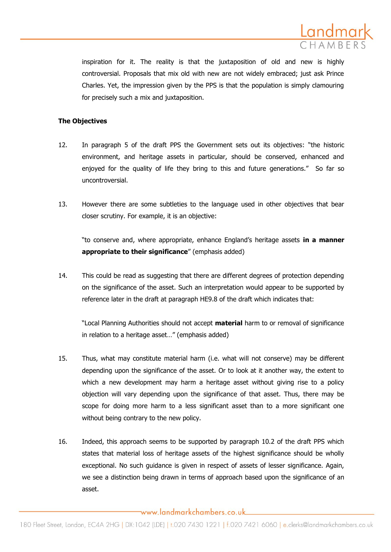

inspiration for it. The reality is that the juxtaposition of old and new is highly controversial. Proposals that mix old with new are not widely embraced; just ask Prince Charles. Yet, the impression given by the PPS is that the population is simply clamouring for precisely such a mix and juxtaposition.

### **The Objectives**

- 12. In paragraph 5 of the draft PPS the Government sets out its objectives: "the historic environment, and heritage assets in particular, should be conserved, enhanced and enjoyed for the quality of life they bring to this and future generations." So far so uncontroversial.
- 13. However there are some subtleties to the language used in other objectives that bear closer scrutiny. For example, it is an objective:

"to conserve and, where appropriate, enhance England's heritage assets **in a manner appropriate to their significance**" (emphasis added)

14. This could be read as suggesting that there are different degrees of protection depending on the significance of the asset. Such an interpretation would appear to be supported by reference later in the draft at paragraph HE9.8 of the draft which indicates that:

"Local Planning Authorities should not accept **material** harm to or removal of significance in relation to a heritage asset…" (emphasis added)

- 15. Thus, what may constitute material harm (i.e. what will not conserve) may be different depending upon the significance of the asset. Or to look at it another way, the extent to which a new development may harm a heritage asset without giving rise to a policy objection will vary depending upon the significance of that asset. Thus, there may be scope for doing more harm to a less significant asset than to a more significant one without being contrary to the new policy.
- 16. Indeed, this approach seems to be supported by paragraph 10.2 of the draft PPS which states that material loss of heritage assets of the highest significance should be wholly exceptional. No such guidance is given in respect of assets of lesser significance. Again, we see a distinction being drawn in terms of approach based upon the significance of an asset.

www.landmarkchambers.co.uk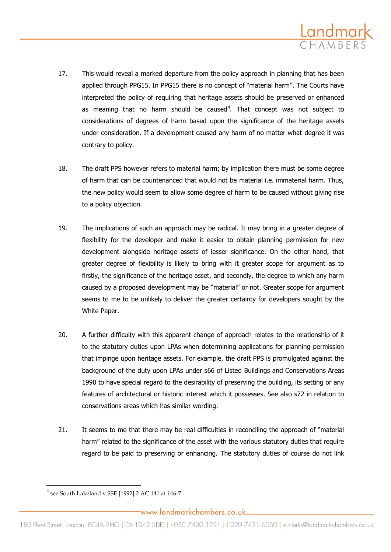

- 17. This would reveal a marked departure from the policy approach in planning that has been applied through PPG15. In PPG15 there is no concept of "material harm". The Courts have interpreted the policy of requiring that heritage assets should be preserved or enhanced as meaning that no harm should be caused<sup>4</sup>. That concept was not subject to considerations of degrees of harm based upon the significance of the heritage assets under consideration. If a development caused any harm of no matter what degree it was contrary to policy.
- 18. The draft PPS however refers to material harm; by implication there must be some degree of harm that can be countenanced that would not be material i.e. immaterial harm. Thus, the new policy would seem to allow some degree of harm to be caused without giving rise to a policy objection.
- 19. The implications of such an approach may be radical. It may bring in a greater degree of flexibility for the developer and make it easier to obtain planning permission for new development alongside heritage assets of lesser significance. On the other hand, that greater degree of flexibility is likely to bring with it greater scope for argument as to firstly, the significance of the heritage asset, and secondly, the degree to which any harm caused by a proposed development may be "material" or not. Greater scope for argument seems to me to be unlikely to deliver the greater certainty for developers sought by the White Paper.
- 20. A further difficulty with this apparent change of approach relates to the relationship of it to the statutory duties upon LPAs when determining applications for planning permission that impinge upon heritage assets. For example, the draft PPS is promulgated against the background of the duty upon LPAs under s66 of Listed Buildings and Conservations Areas 1990 to have special regard to the desirability of preserving the building, its setting or any features of architectural or historic interest which it possesses. See also s72 in relation to conservations areas which has similar wording.
- 21. It seems to me that there may be real difficulties in reconciling the approach of "material harm" related to the significance of the asset with the various statutory duties that require regard to be paid to preserving or enhancing. The statutory duties of course do not link

 $\overline{\phantom{a}}$ 

 $^4$  see South Lakeland v SSE [1992] 2 AC 141 at 146-7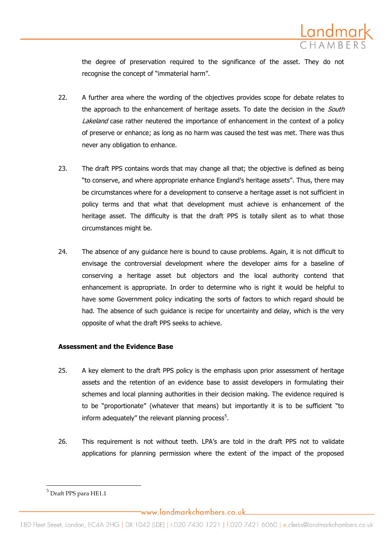

the degree of preservation required to the significance of the asset. They do not recognise the concept of "immaterial harm".

- 22. A further area where the wording of the objectives provides scope for debate relates to the approach to the enhancement of heritage assets. To date the decision in the South Lakeland case rather neutered the importance of enhancement in the context of a policy of preserve or enhance; as long as no harm was caused the test was met. There was thus never any obligation to enhance.
- 23. The draft PPS contains words that may change all that; the objective is defined as being "to conserve, and where appropriate enhance England's heritage assets". Thus, there may be circumstances where for a development to conserve a heritage asset is not sufficient in policy terms and that what that development must achieve is enhancement of the heritage asset. The difficulty is that the draft PPS is totally silent as to what those circumstances might be.
- 24. The absence of any guidance here is bound to cause problems. Again, it is not difficult to envisage the controversial development where the developer aims for a baseline of conserving a heritage asset but objectors and the local authority contend that enhancement is appropriate. In order to determine who is right it would be helpful to have some Government policy indicating the sorts of factors to which regard should be had. The absence of such guidance is recipe for uncertainty and delay, which is the very opposite of what the draft PPS seeks to achieve.

#### **Assessment and the Evidence Base**

- 25. A key element to the draft PPS policy is the emphasis upon prior assessment of heritage assets and the retention of an evidence base to assist developers in formulating their schemes and local planning authorities in their decision making. The evidence required is to be "proportionate" (whatever that means) but importantly it is to be sufficient "to inform adequately" the relevant planning process $5$ .
- 26. This requirement is not without teeth. LPA's are told in the draft PPS not to validate applications for planning permission where the extent of the impact of the proposed

 $\overline{\phantom{a}}$ 

<sup>5</sup> Draft PPS para HE1.1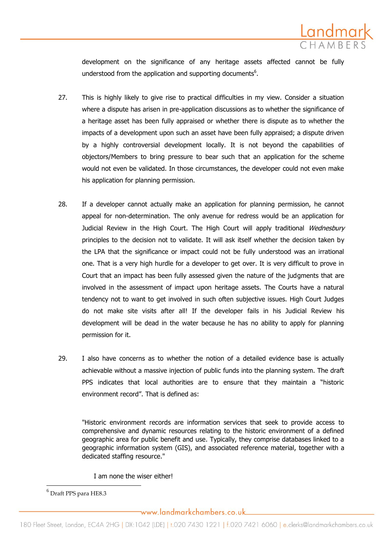

development on the significance of any heritage assets affected cannot be fully understood from the application and supporting documents<sup>6</sup>.

- 27. This is highly likely to give rise to practical difficulties in my view. Consider a situation where a dispute has arisen in pre-application discussions as to whether the significance of a heritage asset has been fully appraised or whether there is dispute as to whether the impacts of a development upon such an asset have been fully appraised; a dispute driven by a highly controversial development locally. It is not beyond the capabilities of objectors/Members to bring pressure to bear such that an application for the scheme would not even be validated. In those circumstances, the developer could not even make his application for planning permission.
- 28. If a developer cannot actually make an application for planning permission, he cannot appeal for non-determination. The only avenue for redress would be an application for Judicial Review in the High Court. The High Court will apply traditional Wednesbury principles to the decision not to validate. It will ask itself whether the decision taken by the LPA that the significance or impact could not be fully understood was an irrational one. That is a very high hurdle for a developer to get over. It is very difficult to prove in Court that an impact has been fully assessed given the nature of the judgments that are involved in the assessment of impact upon heritage assets. The Courts have a natural tendency not to want to get involved in such often subjective issues. High Court Judges do not make site visits after all! If the developer fails in his Judicial Review his development will be dead in the water because he has no ability to apply for planning permission for it.
- 29. I also have concerns as to whether the notion of a detailed evidence base is actually achievable without a massive injection of public funds into the planning system. The draft PPS indicates that local authorities are to ensure that they maintain a "historic environment record". That is defined as:

"Historic environment records are information services that seek to provide access to comprehensive and dynamic resources relating to the historic environment of a defined geographic area for public benefit and use. Typically, they comprise databases linked to a geographic information system (GIS), and associated reference material, together with a dedicated staffing resource."

I am none the wiser either!

 $\overline{\phantom{a}}$ 

<sup>6</sup> Draft PPS para HE8.3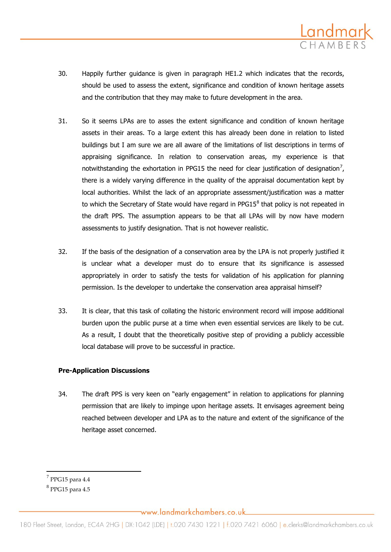

- 30. Happily further guidance is given in paragraph HE1.2 which indicates that the records, should be used to assess the extent, significance and condition of known heritage assets and the contribution that they may make to future development in the area.
- 31. So it seems LPAs are to asses the extent significance and condition of known heritage assets in their areas. To a large extent this has already been done in relation to listed buildings but I am sure we are all aware of the limitations of list descriptions in terms of appraising significance. In relation to conservation areas, my experience is that notwithstanding the exhortation in PPG15 the need for clear justification of designation<sup>7</sup>, there is a widely varying difference in the quality of the appraisal documentation kept by local authorities. Whilst the lack of an appropriate assessment/justification was a matter to which the Secretary of State would have regard in PPG15 $^8$  that policy is not repeated in the draft PPS. The assumption appears to be that all LPAs will by now have modern assessments to justify designation. That is not however realistic.
- 32. If the basis of the designation of a conservation area by the LPA is not properly justified it is unclear what a developer must do to ensure that its significance is assessed appropriately in order to satisfy the tests for validation of his application for planning permission. Is the developer to undertake the conservation area appraisal himself?
- 33. It is clear, that this task of collating the historic environment record will impose additional burden upon the public purse at a time when even essential services are likely to be cut. As a result, I doubt that the theoretically positive step of providing a publicly accessible local database will prove to be successful in practice.

# **Pre-Application Discussions**

34. The draft PPS is very keen on "early engagement" in relation to applications for planning permission that are likely to impinge upon heritage assets. It envisages agreement being reached between developer and LPA as to the nature and extent of the significance of the heritage asset concerned.

 $\overline{\phantom{a}}$ 

www.landmarkchambers.co.uk

 $^7$  PPG15 para 4.4

 $^8$  PPG15 para 4.5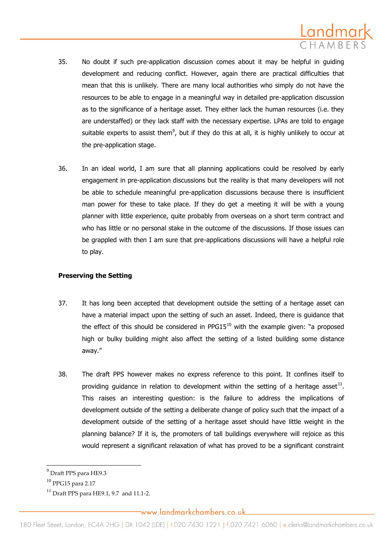

- 35. No doubt if such pre-application discussion comes about it may be helpful in guiding development and reducing conflict. However, again there are practical difficulties that mean that this is unlikely. There are many local authorities who simply do not have the resources to be able to engage in a meaningful way in detailed pre-application discussion as to the significance of a heritage asset. They either lack the human resources (i.e. they are understaffed) or they lack staff with the necessary expertise. LPAs are told to engage suitable experts to assist them<sup>9</sup>, but if they do this at all, it is highly unlikely to occur at the pre-application stage.
- 36. In an ideal world, I am sure that all planning applications could be resolved by early engagement in pre-application discussions but the reality is that many developers will not be able to schedule meaningful pre-application discussions because there is insufficient man power for these to take place. If they do get a meeting it will be with a young planner with little experience, quite probably from overseas on a short term contract and who has little or no personal stake in the outcome of the discussions. If those issues can be grappled with then I am sure that pre-applications discussions will have a helpful role to play.

# **Preserving the Setting**

- 37. It has long been accepted that development outside the setting of a heritage asset can have a material impact upon the setting of such an asset. Indeed, there is guidance that the effect of this should be considered in  $PPG15^{10}$  with the example given: "a proposed high or bulky building might also affect the setting of a listed building some distance away."
- 38. The draft PPS however makes no express reference to this point. It confines itself to providing guidance in relation to development within the setting of a heritage asset<sup>11</sup>. This raises an interesting question: is the failure to address the implications of development outside of the setting a deliberate change of policy such that the impact of a development outside of the setting of a heritage asset should have little weight in the planning balance? If it is, the promoters of tall buildings everywhere will rejoice as this would represent a significant relaxation of what has proved to be a significant constraint

 $\overline{\phantom{a}}$ 

www.landmarkchambers.co.uk

 $^9$  Draft PPS para HE9.3

<sup>10</sup> PPG15 para 2.17

 $^{11}$  Draft PPS para HE9.1, 9.7 and 11.1-2.